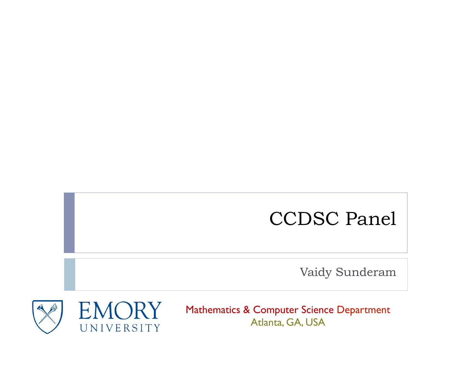### CCDSC Panel

Vaidy Sunderam



Mathematics & Computer Science Department Atlanta, GA, USA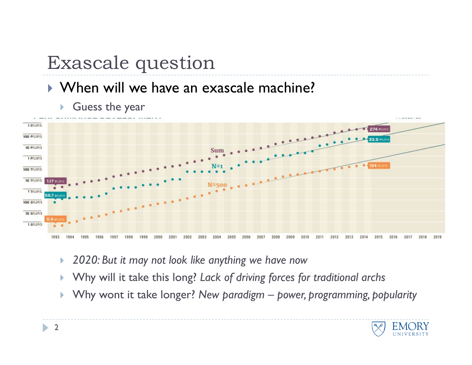# Exascale question

#### } When will we have an exascale machine?



**In Guess the year** 

- } *2020: But it may not look like anything we have now*
- } Why will it take this long? *Lack of driving forces for traditional archs*
- } Why wont it take longer? *New paradigm power, programming, popularity*

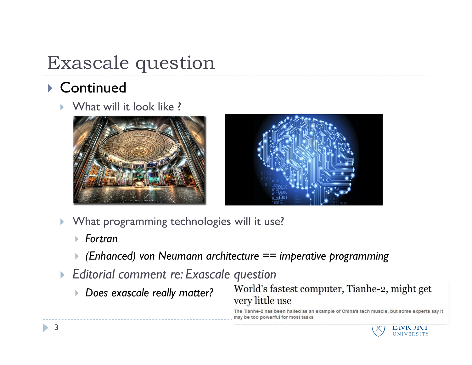# Exascale question

### ▶ Continued

} What will it look like ?





- } What programming technologies will it use?
	- } *Fortran*
	- } *(Enhanced) von Neumann architecture == imperative programming*
- } *Editorial comment re: Exascale question* 
	- } *Does exascale really matter?*

World's fastest computer, Tianhe-2, might get very little use

The Tianhe-2 has been hailed as an example of China's tech muscle, but some experts say it may be too powerful for most tasks

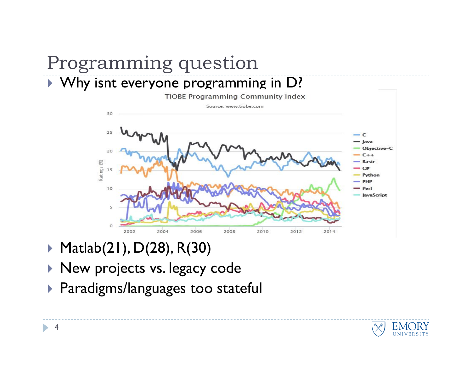### Programming question } Why isnt everyone programming in D?

**TIOBE Programming Community Index** Source: www.tiobe.com 30  $-c$ laya Objective-C  $C++$ Ratings (%) **Basic**  $C#$ Python  $-$  PHP 10 Perl **JavaScript** 5  $\circ$ 2002 2004 2006 2008 2010 2012 2014

- } Matlab(21), D(28), R(30)
- ▶ New projects vs. legacy code
- } Paradigms/languages too stateful

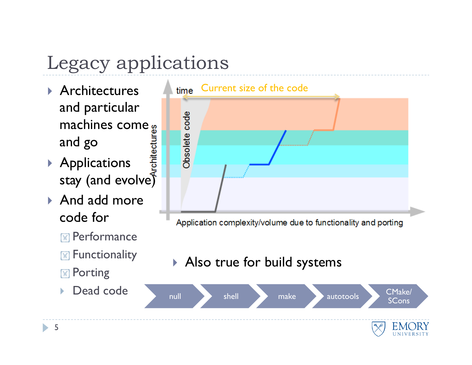# Legacy applications

- } Architectures and particular machines come and go
- ▶ Applications stay (and evolve)
- ▶ And add more code for
	- **IM** Performance
	- **M** Functionality
	- **M** Porting
	-



Application complexity/volume due to functionality and porting

#### } Also true for build systems

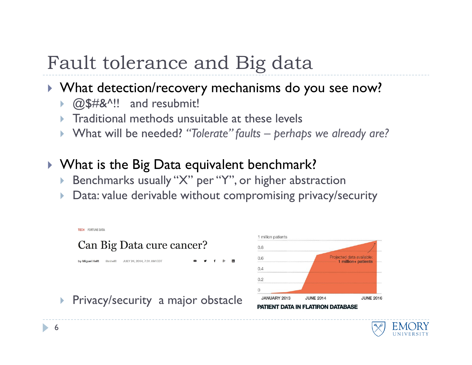## Fault tolerance and Big data

#### } What detection/recovery mechanisms do you see now?

- ▶ @\$#&^!! and resubmit!
- } Traditional methods unsuitable at these levels
- } What will be needed? *"Tolerate" faults perhaps we already are?*
- ▶ What is the Big Data equivalent benchmark?
	- } Benchmarks usually "X" per "Y", or higher abstraction
	- } Data: value derivable without compromising privacy/security



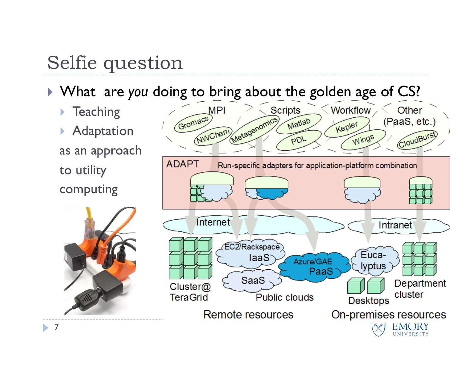### Selfie question

- } What are *you* doing to bring about the golden age of CS?
	- **Teaching**
	- **Adaptation** as an approach to utility computing